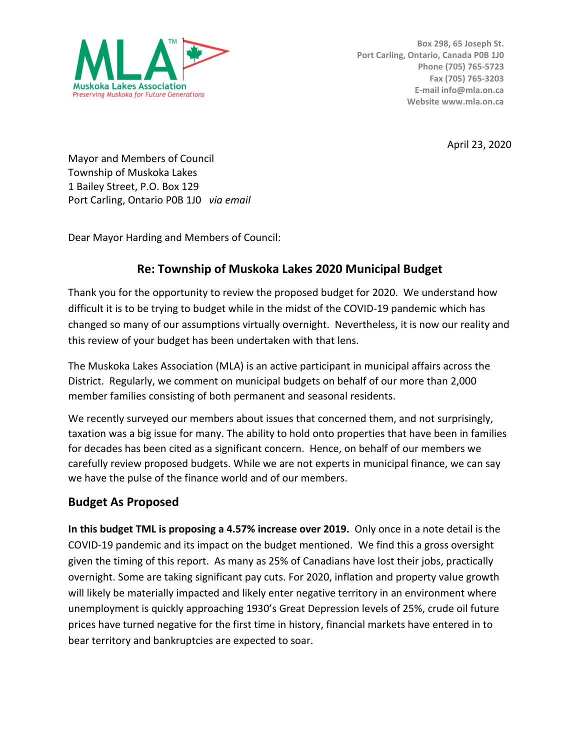

April 23, 2020

Mayor and Members of Council Township of Muskoka Lakes 1 Bailey Street, P.O. Box 129 Port Carling, Ontario P0B 1J0 *via email*

Dear Mayor Harding and Members of Council:

# **Re: Township of Muskoka Lakes 2020 Municipal Budget**

Thank you for the opportunity to review the proposed budget for 2020. We understand how difficult it is to be trying to budget while in the midst of the COVID-19 pandemic which has changed so many of our assumptions virtually overnight. Nevertheless, it is now our reality and this review of your budget has been undertaken with that lens.

The Muskoka Lakes Association (MLA) is an active participant in municipal affairs across the District. Regularly, we comment on municipal budgets on behalf of our more than 2,000 member families consisting of both permanent and seasonal residents.

We recently surveyed our members about issues that concerned them, and not surprisingly, taxation was a big issue for many. The ability to hold onto properties that have been in families for decades has been cited as a significant concern. Hence, on behalf of our members we carefully review proposed budgets. While we are not experts in municipal finance, we can say we have the pulse of the finance world and of our members.

# **Budget As Proposed**

**In this budget TML is proposing a 4.57% increase over 2019.** Only once in a note detail is the COVID-19 pandemic and its impact on the budget mentioned. We find this a gross oversight given the timing of this report. As many as 25% of Canadians have lost their jobs, practically overnight. Some are taking significant pay cuts. For 2020, inflation and property value growth will likely be materially impacted and likely enter negative territory in an environment where unemployment is quickly approaching 1930's Great Depression levels of 25%, crude oil future prices have turned negative for the first time in history, financial markets have entered in to bear territory and bankruptcies are expected to soar.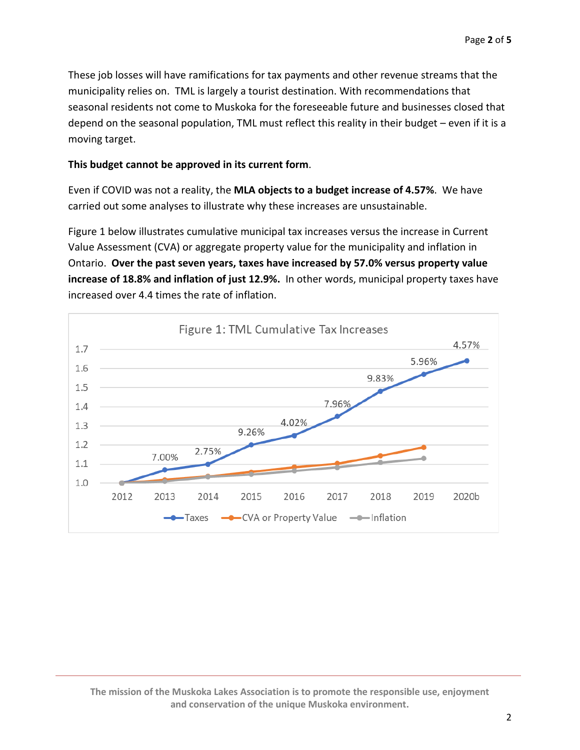These job losses will have ramifications for tax payments and other revenue streams that the municipality relies on. TML is largely a tourist destination. With recommendations that seasonal residents not come to Muskoka for the foreseeable future and businesses closed that depend on the seasonal population, TML must reflect this reality in their budget – even if it is a moving target.

#### **This budget cannot be approved in its current form**.

Even if COVID was not a reality, the **MLA objects to a budget increase of 4.57%**. We have carried out some analyses to illustrate why these increases are unsustainable.

Figure 1 below illustrates cumulative municipal tax increases versus the increase in Current Value Assessment (CVA) or aggregate property value for the municipality and inflation in Ontario. **Over the past seven years, taxes have increased by 57.0% versus property value increase of 18.8% and inflation of just 12.9%.** In other words, municipal property taxes have increased over 4.4 times the rate of inflation.

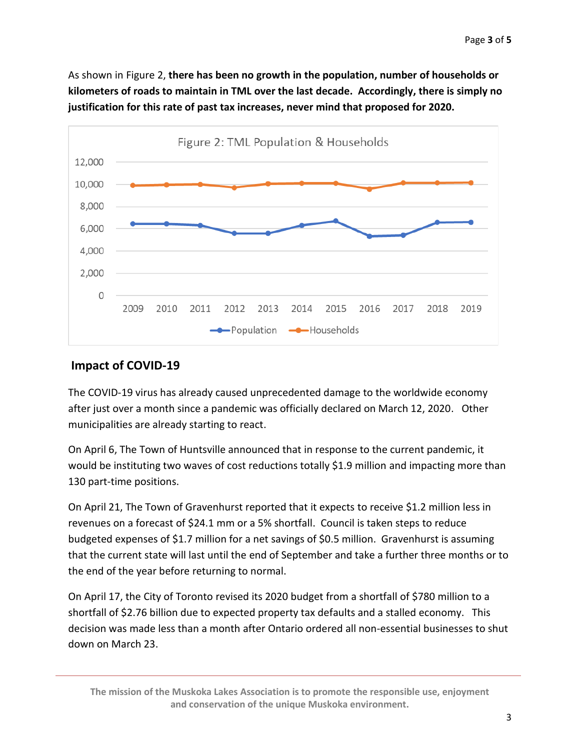As shown in Figure 2, **there has been no growth in the population, number of households or kilometers of roads to maintain in TML over the last decade. Accordingly, there is simply no justification for this rate of past tax increases, never mind that proposed for 2020.**



### **Impact of COVID-19**

The COVID-19 virus has already caused unprecedented damage to the worldwide economy after just over a month since a pandemic was officially declared on March 12, 2020. Other municipalities are already starting to react.

On April 6, The Town of Huntsville announced that in response to the current pandemic, it would be instituting two waves of cost reductions totally \$1.9 million and impacting more than 130 part-time positions.

On April 21, The Town of Gravenhurst reported that it expects to receive \$1.2 million less in revenues on a forecast of \$24.1 mm or a 5% shortfall. Council is taken steps to reduce budgeted expenses of \$1.7 million for a net savings of \$0.5 million. Gravenhurst is assuming that the current state will last until the end of September and take a further three months or to the end of the year before returning to normal.

On April 17, the City of Toronto revised its 2020 budget from a shortfall of \$780 million to a shortfall of \$2.76 billion due to expected property tax defaults and a stalled economy. This decision was made less than a month after Ontario ordered all non-essential businesses to shut down on March 23.

**The mission of the Muskoka Lakes Association is to promote the responsible use, enjoyment and conservation of the unique Muskoka environment.**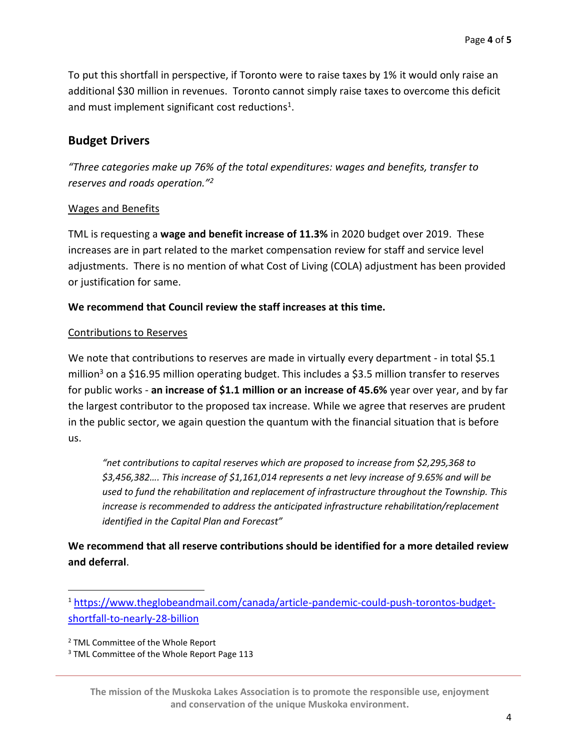To put this shortfall in perspective, if Toronto were to raise taxes by 1% it would only raise an additional \$30 million in revenues. Toronto cannot simply raise taxes to overcome this deficit and must implement significant cost reductions<sup>1</sup>.

## **Budget Drivers**

*"Three categories make up 76% of the total expenditures: wages and benefits, transfer to reserves and roads operation."<sup>2</sup>*

#### Wages and Benefits

TML is requesting a **wage and benefit increase of 11.3%** in 2020 budget over 2019. These increases are in part related to the market compensation review for staff and service level adjustments. There is no mention of what Cost of Living (COLA) adjustment has been provided or justification for same.

#### **We recommend that Council review the staff increases at this time.**

#### Contributions to Reserves

We note that contributions to reserves are made in virtually every department - in total \$5.1 million<sup>3</sup> on a \$16.95 million operating budget. This includes a \$3.5 million transfer to reserves for public works - **an increase of \$1.1 million or an increase of 45.6%** year over year, and by far the largest contributor to the proposed tax increase. While we agree that reserves are prudent in the public sector, we again question the quantum with the financial situation that is before us.

*"net contributions to capital reserves which are proposed to increase from \$2,295,368 to \$3,456,382…. This increase of \$1,161,014 represents a net levy increase of 9.65% and will be used to fund the rehabilitation and replacement of infrastructure throughout the Township. This increase is recommended to address the anticipated infrastructure rehabilitation/replacement identified in the Capital Plan and Forecast"*

**We recommend that all reserve contributions should be identified for a more detailed review and deferral**.

**The mission of the Muskoka Lakes Association is to promote the responsible use, enjoyment and conservation of the unique Muskoka environment.**

<sup>1</sup> [https://www.theglobeandmail.com/canada/article-pandemic-could-push-torontos-budget](https://www.theglobeandmail.com/canada/article-pandemic-could-push-torontos-budget-shortfall-to-nearly-28-billion)[shortfall-to-nearly-28-billion](https://www.theglobeandmail.com/canada/article-pandemic-could-push-torontos-budget-shortfall-to-nearly-28-billion)

<sup>2</sup> TML Committee of the Whole Report

<sup>&</sup>lt;sup>3</sup> TML Committee of the Whole Report Page 113